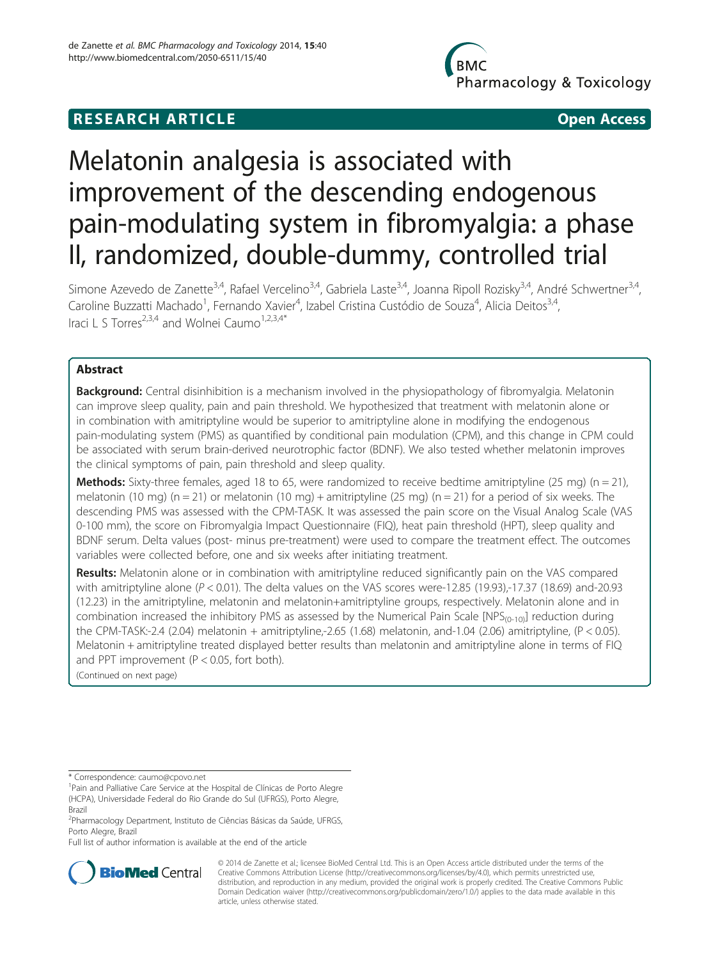# **BMC** Pharmacology & Toxicology

# **RESEARCH ARTICLE CONSUMING A RESEARCH ARTICLE**

# Melatonin analgesia is associated with improvement of the descending endogenous pain-modulating system in fibromyalgia: a phase II, randomized, double-dummy, controlled trial

Simone Azevedo de Zanette<sup>3,4</sup>, Rafael Vercelino<sup>3,4</sup>, Gabriela Laste<sup>3,4</sup>, Joanna Ripoll Rozisky<sup>3,4</sup>, André Schwertner<sup>3,4</sup>, Caroline Buzzatti Machado<sup>1</sup>, Fernando Xavier<sup>4</sup>, Izabel Cristina Custódio de Souza<sup>4</sup>, Alicia Deitos<sup>3,4</sup>, Iraci L S Torres<sup>2,3,4</sup> and Wolnei Caumo<sup>1,2,3,4\*</sup>

# Abstract

Background: Central disinhibition is a mechanism involved in the physiopathology of fibromyalgia. Melatonin can improve sleep quality, pain and pain threshold. We hypothesized that treatment with melatonin alone or in combination with amitriptyline would be superior to amitriptyline alone in modifying the endogenous pain-modulating system (PMS) as quantified by conditional pain modulation (CPM), and this change in CPM could be associated with serum brain-derived neurotrophic factor (BDNF). We also tested whether melatonin improves the clinical symptoms of pain, pain threshold and sleep quality.

**Methods:** Sixty-three females, aged 18 to 65, were randomized to receive bedtime amitriptyline (25 mg) (n = 21), melatonin (10 mg) (n = 21) or melatonin (10 mg) + amitriptyline (25 mg) (n = 21) for a period of six weeks. The descending PMS was assessed with the CPM-TASK. It was assessed the pain score on the Visual Analog Scale (VAS 0-100 mm), the score on Fibromyalgia Impact Questionnaire (FIQ), heat pain threshold (HPT), sleep quality and BDNF serum. Delta values (post- minus pre-treatment) were used to compare the treatment effect. The outcomes variables were collected before, one and six weeks after initiating treatment.

Results: Melatonin alone or in combination with amitriptyline reduced significantly pain on the VAS compared with amitriptyline alone ( $P < 0.01$ ). The delta values on the VAS scores were-12.85 (19.93),-17.37 (18.69) and-20.93 (12.23) in the amitriptyline, melatonin and melatonin+amitriptyline groups, respectively. Melatonin alone and in combination increased the inhibitory PMS as assessed by the Numerical Pain Scale  $[NPS_{(0-10)}]$  reduction during the CPM-TASK:-2.4 (2.04) melatonin + amitriptyline,-2.65 (1.68) melatonin, and-1.04 (2.06) amitriptyline, (P < 0.05). Melatonin + amitriptyline treated displayed better results than melatonin and amitriptyline alone in terms of FIQ and PPT improvement (P < 0.05, fort both).

(Continued on next page)

\* Correspondence: [caumo@cpovo.net](mailto:caumo@cpovo.net) <sup>1</sup>

Full list of author information is available at the end of the article



© 2014 de Zanette et al.; licensee BioMed Central Ltd. This is an Open Access article distributed under the terms of the Creative Commons Attribution License (<http://creativecommons.org/licenses/by/4.0>), which permits unrestricted use, distribution, and reproduction in any medium, provided the original work is properly credited. The Creative Commons Public Domain Dedication waiver [\(http://creativecommons.org/publicdomain/zero/1.0/\)](http://creativecommons.org/publicdomain/zero/1.0/) applies to the data made available in this article, unless otherwise stated.

<sup>&</sup>lt;sup>1</sup>Pain and Palliative Care Service at the Hospital de Clínicas de Porto Alegre (HCPA), Universidade Federal do Rio Grande do Sul (UFRGS), Porto Alegre, Brazil

<sup>&</sup>lt;sup>2</sup> Pharmacology Department, Instituto de Ciências Básicas da Saúde, UFRGS, Porto Alegre, Brazil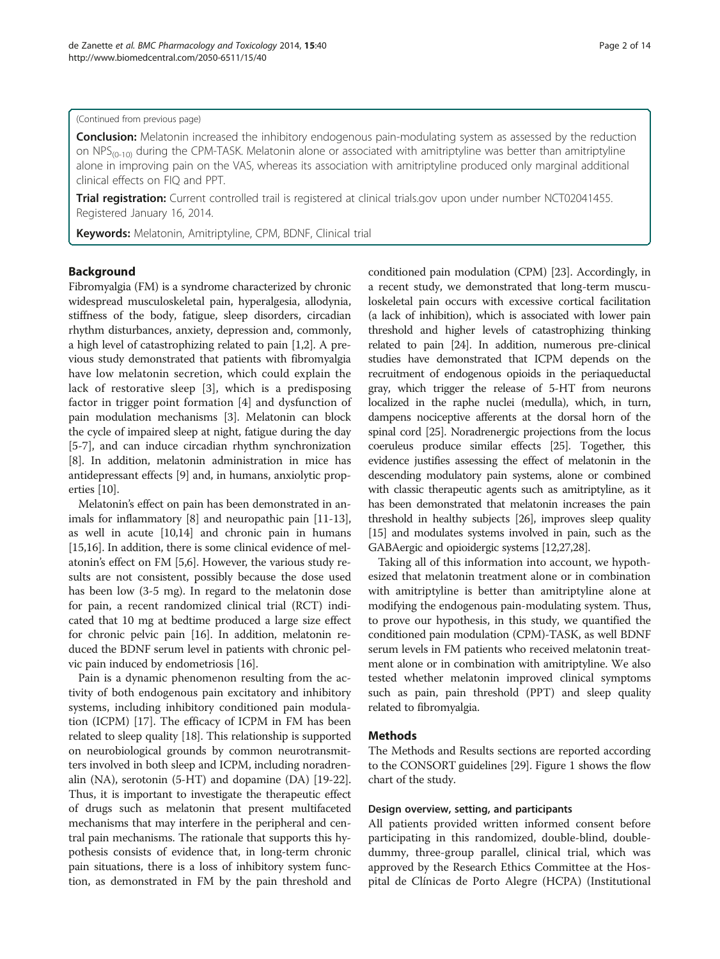#### (Continued from previous page)

Conclusion: Melatonin increased the inhibitory endogenous pain-modulating system as assessed by the reduction on NPS<sub>(0-10)</sub> during the CPM-TASK. Melatonin alone or associated with amitriptyline was better than amitriptyline alone in improving pain on the VAS, whereas its association with amitriptyline produced only marginal additional clinical effects on FIQ and PPT.

Trial registration: Current controlled trail is registered at clinical trials.gov upon under number [NCT02041455](http://www.clinicaltrials.gov/show/NCT02041455). Registered January 16, 2014.

Keywords: Melatonin, Amitriptyline, CPM, BDNF, Clinical trial

#### Background

Fibromyalgia (FM) is a syndrome characterized by chronic widespread musculoskeletal pain, hyperalgesia, allodynia, stiffness of the body, fatigue, sleep disorders, circadian rhythm disturbances, anxiety, depression and, commonly, a high level of catastrophizing related to pain [\[1,2](#page-12-0)]. A previous study demonstrated that patients with fibromyalgia have low melatonin secretion, which could explain the lack of restorative sleep [\[3](#page-12-0)], which is a predisposing factor in trigger point formation [[4](#page-12-0)] and dysfunction of pain modulation mechanisms [\[3](#page-12-0)]. Melatonin can block the cycle of impaired sleep at night, fatigue during the day [[5-7\]](#page-12-0), and can induce circadian rhythm synchronization [[8\]](#page-12-0). In addition, melatonin administration in mice has antidepressant effects [[9\]](#page-12-0) and, in humans, anxiolytic properties [[10](#page-12-0)].

Melatonin's effect on pain has been demonstrated in animals for inflammatory [\[8\]](#page-12-0) and neuropathic pain [[11](#page-12-0)-[13](#page-12-0)], as well in acute [[10,14\]](#page-12-0) and chronic pain in humans [[15,16](#page-12-0)]. In addition, there is some clinical evidence of melatonin's effect on FM [[5,6](#page-12-0)]. However, the various study results are not consistent, possibly because the dose used has been low (3-5 mg). In regard to the melatonin dose for pain, a recent randomized clinical trial (RCT) indicated that 10 mg at bedtime produced a large size effect for chronic pelvic pain [\[16\]](#page-12-0). In addition, melatonin reduced the BDNF serum level in patients with chronic pelvic pain induced by endometriosis [[16](#page-12-0)].

Pain is a dynamic phenomenon resulting from the activity of both endogenous pain excitatory and inhibitory systems, including inhibitory conditioned pain modulation (ICPM) [[17\]](#page-12-0). The efficacy of ICPM in FM has been related to sleep quality [\[18\]](#page-12-0). This relationship is supported on neurobiological grounds by common neurotransmitters involved in both sleep and ICPM, including noradrenalin (NA), serotonin (5-HT) and dopamine (DA) [[19](#page-12-0)-[22](#page-12-0)]. Thus, it is important to investigate the therapeutic effect of drugs such as melatonin that present multifaceted mechanisms that may interfere in the peripheral and central pain mechanisms. The rationale that supports this hypothesis consists of evidence that, in long-term chronic pain situations, there is a loss of inhibitory system function, as demonstrated in FM by the pain threshold and conditioned pain modulation (CPM) [\[23\]](#page-12-0). Accordingly, in a recent study, we demonstrated that long-term musculoskeletal pain occurs with excessive cortical facilitation (a lack of inhibition), which is associated with lower pain threshold and higher levels of catastrophizing thinking related to pain [\[24](#page-12-0)]. In addition, numerous pre-clinical studies have demonstrated that ICPM depends on the recruitment of endogenous opioids in the periaqueductal gray, which trigger the release of 5-HT from neurons localized in the raphe nuclei (medulla), which, in turn, dampens nociceptive afferents at the dorsal horn of the spinal cord [\[25\]](#page-12-0). Noradrenergic projections from the locus coeruleus produce similar effects [\[25](#page-12-0)]. Together, this evidence justifies assessing the effect of melatonin in the descending modulatory pain systems, alone or combined with classic therapeutic agents such as amitriptyline, as it has been demonstrated that melatonin increases the pain threshold in healthy subjects [\[26\]](#page-12-0), improves sleep quality [[15](#page-12-0)] and modulates systems involved in pain, such as the GABAergic and opioidergic systems [\[12,27,28\]](#page-12-0).

Taking all of this information into account, we hypothesized that melatonin treatment alone or in combination with amitriptyline is better than amitriptyline alone at modifying the endogenous pain-modulating system. Thus, to prove our hypothesis, in this study, we quantified the conditioned pain modulation (CPM)-TASK, as well BDNF serum levels in FM patients who received melatonin treatment alone or in combination with amitriptyline. We also tested whether melatonin improved clinical symptoms such as pain, pain threshold (PPT) and sleep quality related to fibromyalgia.

#### Methods

The Methods and [Results](#page-5-0) sections are reported according to the CONSORT guidelines [\[29](#page-12-0)]. Figure [1](#page-2-0) shows the flow chart of the study.

#### Design overview, setting, and participants

All patients provided written informed consent before participating in this randomized, double-blind, doubledummy, three-group parallel, clinical trial, which was approved by the Research Ethics Committee at the Hospital de Clínicas de Porto Alegre (HCPA) (Institutional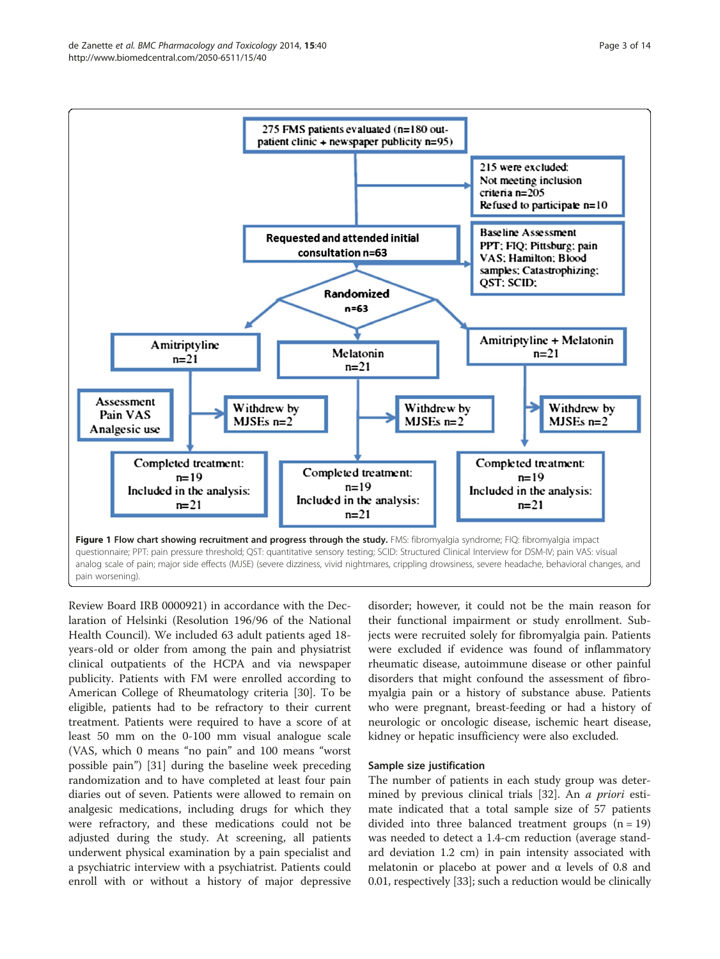<span id="page-2-0"></span>

Review Board IRB 0000921) in accordance with the Declaration of Helsinki (Resolution 196/96 of the National Health Council). We included 63 adult patients aged 18 years-old or older from among the pain and physiatrist clinical outpatients of the HCPA and via newspaper publicity. Patients with FM were enrolled according to American College of Rheumatology criteria [\[30\]](#page-12-0). To be eligible, patients had to be refractory to their current treatment. Patients were required to have a score of at least 50 mm on the 0-100 mm visual analogue scale (VAS, which 0 means "no pain" and 100 means "worst possible pain") [[31](#page-12-0)] during the baseline week preceding randomization and to have completed at least four pain diaries out of seven. Patients were allowed to remain on analgesic medications, including drugs for which they were refractory, and these medications could not be adjusted during the study. At screening, all patients underwent physical examination by a pain specialist and a psychiatric interview with a psychiatrist. Patients could enroll with or without a history of major depressive

disorder; however, it could not be the main reason for their functional impairment or study enrollment. Subjects were recruited solely for fibromyalgia pain. Patients were excluded if evidence was found of inflammatory rheumatic disease, autoimmune disease or other painful disorders that might confound the assessment of fibromyalgia pain or a history of substance abuse. Patients who were pregnant, breast-feeding or had a history of neurologic or oncologic disease, ischemic heart disease, kidney or hepatic insufficiency were also excluded.

#### Sample size justification

The number of patients in each study group was deter-mined by previous clinical trials [\[32](#page-12-0)]. An *a priori* estimate indicated that a total sample size of 57 patients divided into three balanced treatment groups  $(n = 19)$ was needed to detect a 1.4-cm reduction (average standard deviation 1.2 cm) in pain intensity associated with melatonin or placebo at power and  $\alpha$  levels of 0.8 and 0.01, respectively [\[33\]](#page-12-0); such a reduction would be clinically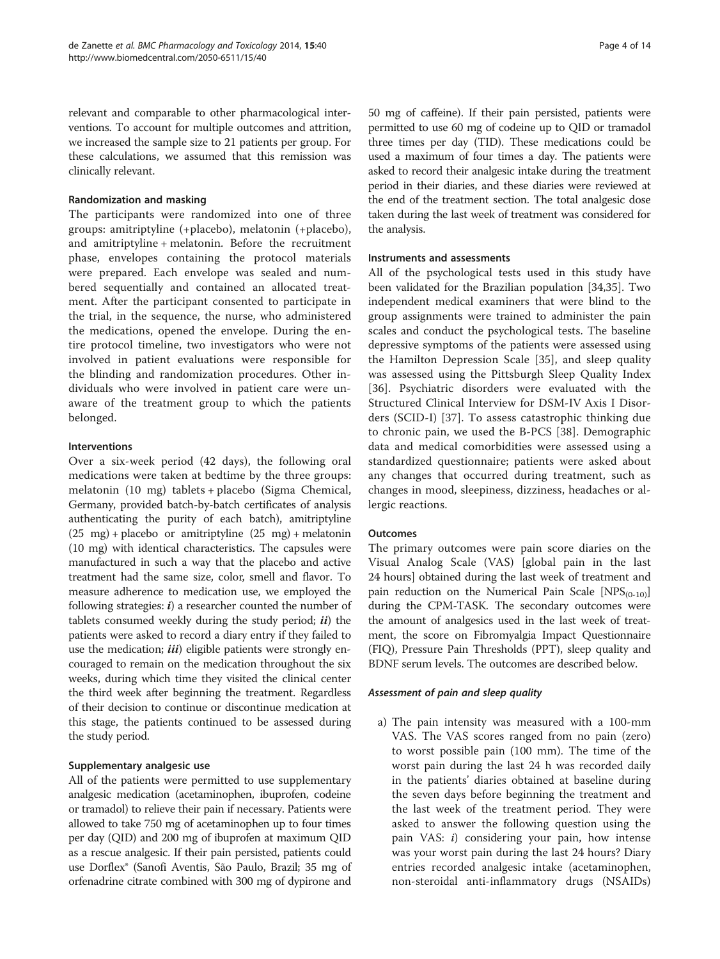relevant and comparable to other pharmacological interventions. To account for multiple outcomes and attrition, we increased the sample size to 21 patients per group. For these calculations, we assumed that this remission was clinically relevant.

# Randomization and masking

The participants were randomized into one of three groups: amitriptyline (+placebo), melatonin (+placebo), and amitriptyline + melatonin. Before the recruitment phase, envelopes containing the protocol materials were prepared. Each envelope was sealed and numbered sequentially and contained an allocated treatment. After the participant consented to participate in the trial, in the sequence, the nurse, who administered the medications, opened the envelope. During the entire protocol timeline, two investigators who were not involved in patient evaluations were responsible for the blinding and randomization procedures. Other individuals who were involved in patient care were unaware of the treatment group to which the patients belonged.

#### Interventions

Over a six-week period (42 days), the following oral medications were taken at bedtime by the three groups: melatonin (10 mg) tablets + placebo (Sigma Chemical, Germany, provided batch-by-batch certificates of analysis authenticating the purity of each batch), amitriptyline  $(25 \text{ mg}) + \text{placebo}$  or amitriptyline  $(25 \text{ mg}) + \text{melatonin}$ (10 mg) with identical characteristics. The capsules were manufactured in such a way that the placebo and active treatment had the same size, color, smell and flavor. To measure adherence to medication use, we employed the following strategies:  $i$ ) a researcher counted the number of tablets consumed weekly during the study period;  $ii$ ) the patients were asked to record a diary entry if they failed to use the medication;  $iii$ ) eligible patients were strongly encouraged to remain on the medication throughout the six weeks, during which time they visited the clinical center the third week after beginning the treatment. Regardless of their decision to continue or discontinue medication at this stage, the patients continued to be assessed during the study period.

# Supplementary analgesic use

All of the patients were permitted to use supplementary analgesic medication (acetaminophen, ibuprofen, codeine or tramadol) to relieve their pain if necessary. Patients were allowed to take 750 mg of acetaminophen up to four times per day (QID) and 200 mg of ibuprofen at maximum QID as a rescue analgesic. If their pain persisted, patients could use Dorflex® (Sanofi Aventis, São Paulo, Brazil; 35 mg of orfenadrine citrate combined with 300 mg of dypirone and 50 mg of caffeine). If their pain persisted, patients were permitted to use 60 mg of codeine up to QID or tramadol three times per day (TID). These medications could be used a maximum of four times a day. The patients were asked to record their analgesic intake during the treatment period in their diaries, and these diaries were reviewed at the end of the treatment section. The total analgesic dose taken during the last week of treatment was considered for the analysis.

## Instruments and assessments

All of the psychological tests used in this study have been validated for the Brazilian population [\[34,35](#page-12-0)]. Two independent medical examiners that were blind to the group assignments were trained to administer the pain scales and conduct the psychological tests. The baseline depressive symptoms of the patients were assessed using the Hamilton Depression Scale [[35\]](#page-12-0), and sleep quality was assessed using the Pittsburgh Sleep Quality Index [[36\]](#page-13-0). Psychiatric disorders were evaluated with the Structured Clinical Interview for DSM-IV Axis I Disorders (SCID-I) [\[37](#page-13-0)]. To assess catastrophic thinking due to chronic pain, we used the B-PCS [[38\]](#page-13-0). Demographic data and medical comorbidities were assessed using a standardized questionnaire; patients were asked about any changes that occurred during treatment, such as changes in mood, sleepiness, dizziness, headaches or allergic reactions.

# **Outcomes**

The primary outcomes were pain score diaries on the Visual Analog Scale (VAS) [global pain in the last 24 hours] obtained during the last week of treatment and pain reduction on the Numerical Pain Scale  $[NPS_{(0-10)}]$ during the CPM-TASK. The secondary outcomes were the amount of analgesics used in the last week of treatment, the score on Fibromyalgia Impact Questionnaire (FIQ), Pressure Pain Thresholds (PPT), sleep quality and BDNF serum levels. The outcomes are described below.

#### Assessment of pain and sleep quality

a) The pain intensity was measured with a 100-mm VAS. The VAS scores ranged from no pain (zero) to worst possible pain (100 mm). The time of the worst pain during the last 24 h was recorded daily in the patients' diaries obtained at baseline during the seven days before beginning the treatment and the last week of the treatment period. They were asked to answer the following question using the pain VAS:  $i$ ) considering your pain, how intense was your worst pain during the last 24 hours? Diary entries recorded analgesic intake (acetaminophen, non-steroidal anti-inflammatory drugs (NSAIDs)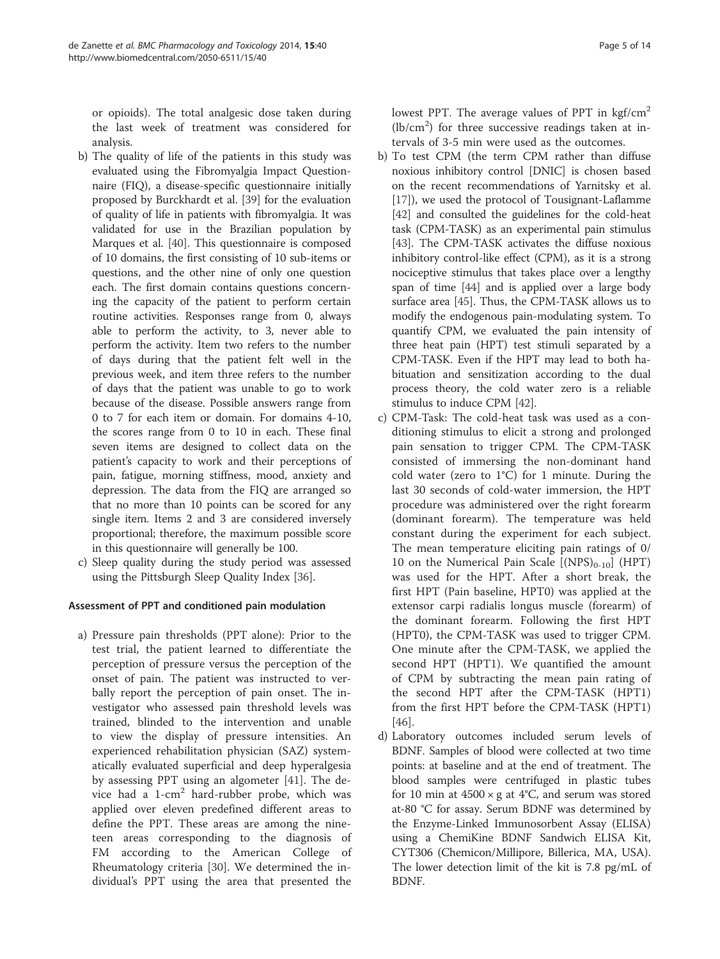or opioids). The total analgesic dose taken during the last week of treatment was considered for analysis.

- b) The quality of life of the patients in this study was evaluated using the Fibromyalgia Impact Questionnaire (FIQ), a disease-specific questionnaire initially proposed by Burckhardt et al. [[39\]](#page-13-0) for the evaluation of quality of life in patients with fibromyalgia. It was validated for use in the Brazilian population by Marques et al. [\[40\]](#page-13-0). This questionnaire is composed of 10 domains, the first consisting of 10 sub-items or questions, and the other nine of only one question each. The first domain contains questions concerning the capacity of the patient to perform certain routine activities. Responses range from 0, always able to perform the activity, to 3, never able to perform the activity. Item two refers to the number of days during that the patient felt well in the previous week, and item three refers to the number of days that the patient was unable to go to work because of the disease. Possible answers range from 0 to 7 for each item or domain. For domains 4-10, the scores range from 0 to 10 in each. These final seven items are designed to collect data on the patient's capacity to work and their perceptions of pain, fatigue, morning stiffness, mood, anxiety and depression. The data from the FIQ are arranged so that no more than 10 points can be scored for any single item. Items 2 and 3 are considered inversely proportional; therefore, the maximum possible score in this questionnaire will generally be 100.
- c) Sleep quality during the study period was assessed using the Pittsburgh Sleep Quality Index [\[36\]](#page-13-0).

# Assessment of PPT and conditioned pain modulation

a) Pressure pain thresholds (PPT alone): Prior to the test trial, the patient learned to differentiate the perception of pressure versus the perception of the onset of pain. The patient was instructed to verbally report the perception of pain onset. The investigator who assessed pain threshold levels was trained, blinded to the intervention and unable to view the display of pressure intensities. An experienced rehabilitation physician (SAZ) systematically evaluated superficial and deep hyperalgesia by assessing PPT using an algometer [\[41](#page-13-0)]. The device had a  $1$ -cm<sup>2</sup> hard-rubber probe, which was applied over eleven predefined different areas to define the PPT. These areas are among the nineteen areas corresponding to the diagnosis of FM according to the American College of Rheumatology criteria [[30\]](#page-12-0). We determined the individual's PPT using the area that presented the lowest PPT. The average values of PPT in  $\text{kgf/cm}^2$  $(lb/cm<sup>2</sup>)$  for three successive readings taken at intervals of 3-5 min were used as the outcomes.

- b) To test CPM (the term CPM rather than diffuse noxious inhibitory control [DNIC] is chosen based on the recent recommendations of Yarnitsky et al. [[17](#page-12-0)]), we used the protocol of Tousignant-Laflamme [[42](#page-13-0)] and consulted the guidelines for the cold-heat task (CPM-TASK) as an experimental pain stimulus [[43](#page-13-0)]. The CPM-TASK activates the diffuse noxious inhibitory control-like effect (CPM), as it is a strong nociceptive stimulus that takes place over a lengthy span of time [[44](#page-13-0)] and is applied over a large body surface area [[45](#page-13-0)]. Thus, the CPM-TASK allows us to modify the endogenous pain-modulating system. To quantify CPM, we evaluated the pain intensity of three heat pain (HPT) test stimuli separated by a CPM-TASK. Even if the HPT may lead to both habituation and sensitization according to the dual process theory, the cold water zero is a reliable stimulus to induce CPM [\[42\]](#page-13-0).
- c) CPM-Task: The cold-heat task was used as a conditioning stimulus to elicit a strong and prolonged pain sensation to trigger CPM. The CPM-TASK consisted of immersing the non-dominant hand cold water (zero to 1°C) for 1 minute. During the last 30 seconds of cold-water immersion, the HPT procedure was administered over the right forearm (dominant forearm). The temperature was held constant during the experiment for each subject. The mean temperature eliciting pain ratings of 0/ 10 on the Numerical Pain Scale  $[(NPS)_{0-10}]$  (HPT) was used for the HPT. After a short break, the first HPT (Pain baseline, HPT0) was applied at the extensor carpi radialis longus muscle (forearm) of the dominant forearm. Following the first HPT (HPT0), the CPM-TASK was used to trigger CPM. One minute after the CPM-TASK, we applied the second HPT (HPT1). We quantified the amount of CPM by subtracting the mean pain rating of the second HPT after the CPM-TASK (HPT1) from the first HPT before the CPM-TASK (HPT1) [[46](#page-13-0)].
- d) Laboratory outcomes included serum levels of BDNF. Samples of blood were collected at two time points: at baseline and at the end of treatment. The blood samples were centrifuged in plastic tubes for 10 min at  $4500 \times g$  at  $4^{\circ}C$ , and serum was stored at-80 °C for assay. Serum BDNF was determined by the Enzyme-Linked Immunosorbent Assay (ELISA) using a ChemiKine BDNF Sandwich ELISA Kit, CYT306 (Chemicon/Millipore, Billerica, MA, USA). The lower detection limit of the kit is 7.8 pg/mL of BDNF.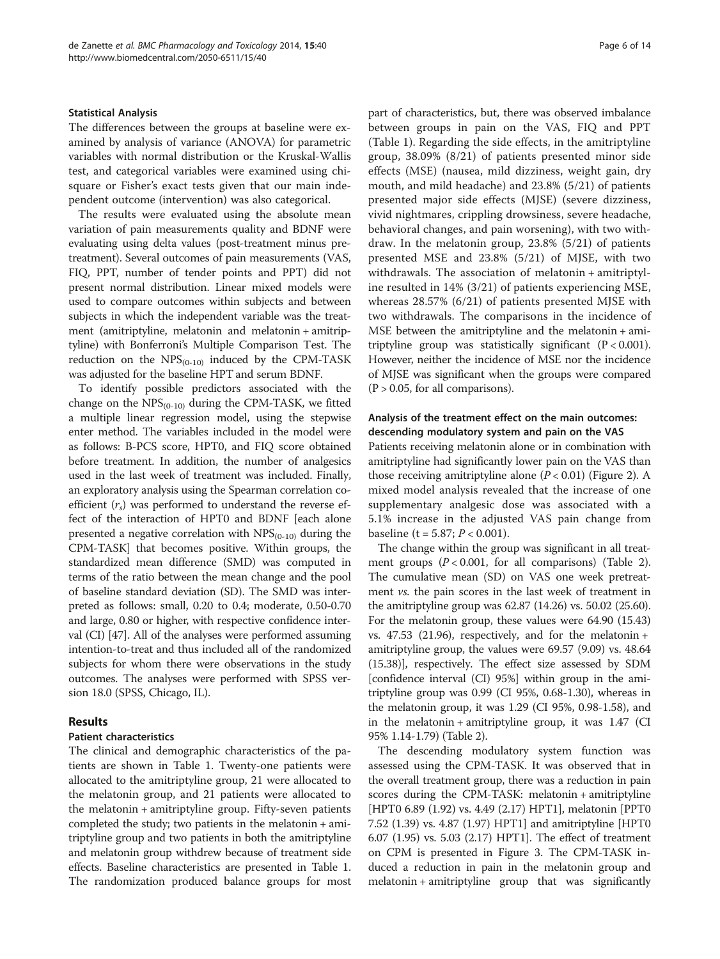#### <span id="page-5-0"></span>Statistical Analysis

The differences between the groups at baseline were examined by analysis of variance (ANOVA) for parametric variables with normal distribution or the Kruskal-Wallis test, and categorical variables were examined using chisquare or Fisher's exact tests given that our main independent outcome (intervention) was also categorical.

The results were evaluated using the absolute mean variation of pain measurements quality and BDNF were evaluating using delta values (post-treatment minus pretreatment). Several outcomes of pain measurements (VAS, FIQ, PPT, number of tender points and PPT) did not present normal distribution. Linear mixed models were used to compare outcomes within subjects and between subjects in which the independent variable was the treatment (amitriptyline, melatonin and melatonin + amitriptyline) with Bonferroni's Multiple Comparison Test. The reduction on the  $NPS_{(0-10)}$  induced by the CPM-TASK was adjusted for the baseline HPT and serum BDNF.

To identify possible predictors associated with the change on the  $NPS_{(0-10)}$  during the CPM-TASK, we fitted a multiple linear regression model, using the stepwise enter method. The variables included in the model were as follows: B-PCS score, HPT0, and FIQ score obtained before treatment. In addition, the number of analgesics used in the last week of treatment was included. Finally, an exploratory analysis using the Spearman correlation coefficient  $(r<sub>s</sub>)$  was performed to understand the reverse effect of the interaction of HPT0 and BDNF [each alone presented a negative correlation with  $NPS_{(0-10)}$  during the CPM-TASK] that becomes positive. Within groups, the standardized mean difference (SMD) was computed in terms of the ratio between the mean change and the pool of baseline standard deviation (SD). The SMD was interpreted as follows: small, 0.20 to 0.4; moderate, 0.50-0.70 and large, 0.80 or higher, with respective confidence interval (CI) [[47](#page-13-0)]. All of the analyses were performed assuming intention-to-treat and thus included all of the randomized subjects for whom there were observations in the study outcomes. The analyses were performed with SPSS version 18.0 (SPSS, Chicago, IL).

#### Results

#### Patient characteristics

The clinical and demographic characteristics of the patients are shown in Table [1.](#page-6-0) Twenty-one patients were allocated to the amitriptyline group, 21 were allocated to the melatonin group, and 21 patients were allocated to the melatonin + amitriptyline group. Fifty-seven patients completed the study; two patients in the melatonin + amitriptyline group and two patients in both the amitriptyline and melatonin group withdrew because of treatment side effects. Baseline characteristics are presented in Table [1](#page-6-0). The randomization produced balance groups for most

part of characteristics, but, there was observed imbalance between groups in pain on the VAS, FIQ and PPT (Table [1](#page-6-0)). Regarding the side effects, in the amitriptyline group, 38.09% (8/21) of patients presented minor side effects (MSE) (nausea, mild dizziness, weight gain, dry mouth, and mild headache) and 23.8% (5/21) of patients presented major side effects (MJSE) (severe dizziness, vivid nightmares, crippling drowsiness, severe headache, behavioral changes, and pain worsening), with two withdraw. In the melatonin group, 23.8% (5/21) of patients presented MSE and 23.8% (5/21) of MJSE, with two withdrawals. The association of melatonin + amitriptyline resulted in 14% (3/21) of patients experiencing MSE, whereas 28.57% (6/21) of patients presented MJSE with two withdrawals. The comparisons in the incidence of MSE between the amitriptyline and the melatonin + amitriptyline group was statistically significant  $(P < 0.001)$ . However, neither the incidence of MSE nor the incidence of MJSE was significant when the groups were compared  $(P > 0.05$ , for all comparisons).

# Analysis of the treatment effect on the main outcomes: descending modulatory system and pain on the VAS

Patients receiving melatonin alone or in combination with amitriptyline had significantly lower pain on the VAS than those receiving amitriptyline alone  $(P < 0.01)$  (Figure [2](#page-7-0)). A mixed model analysis revealed that the increase of one supplementary analgesic dose was associated with a 5.1% increase in the adjusted VAS pain change from baseline (t =  $5.87; P < 0.001$ ).

The change within the group was significant in all treatment groups  $(P < 0.001$ , for all comparisons) (Table [2](#page-7-0)). The cumulative mean (SD) on VAS one week pretreatment vs. the pain scores in the last week of treatment in the amitriptyline group was 62.87 (14.26) vs. 50.02 (25.60). For the melatonin group, these values were 64.90 (15.43) vs.  $47.53$  (21.96), respectively, and for the melatonin  $+$ amitriptyline group, the values were 69.57 (9.09) vs. 48.64 (15.38)], respectively. The effect size assessed by SDM [confidence interval (CI) 95%] within group in the amitriptyline group was 0.99 (CI 95%, 0.68-1.30), whereas in the melatonin group, it was 1.29 (CI 95%, 0.98-1.58), and in the melatonin + amitriptyline group, it was 1.47 (CI 95% 1.14-1.79) (Table [2](#page-7-0)).

The descending modulatory system function was assessed using the CPM-TASK. It was observed that in the overall treatment group, there was a reduction in pain scores during the CPM-TASK: melatonin + amitriptyline [HPT0 6.89 (1.92) vs. 4.49 (2.17) HPT1], melatonin [PPT0 7.52 (1.39) vs. 4.87 (1.97) HPT1] and amitriptyline [HPT0 6.07 (1.95) vs. 5.03 (2.17) HPT1]. The effect of treatment on CPM is presented in Figure [3](#page-8-0). The CPM-TASK induced a reduction in pain in the melatonin group and melatonin + amitriptyline group that was significantly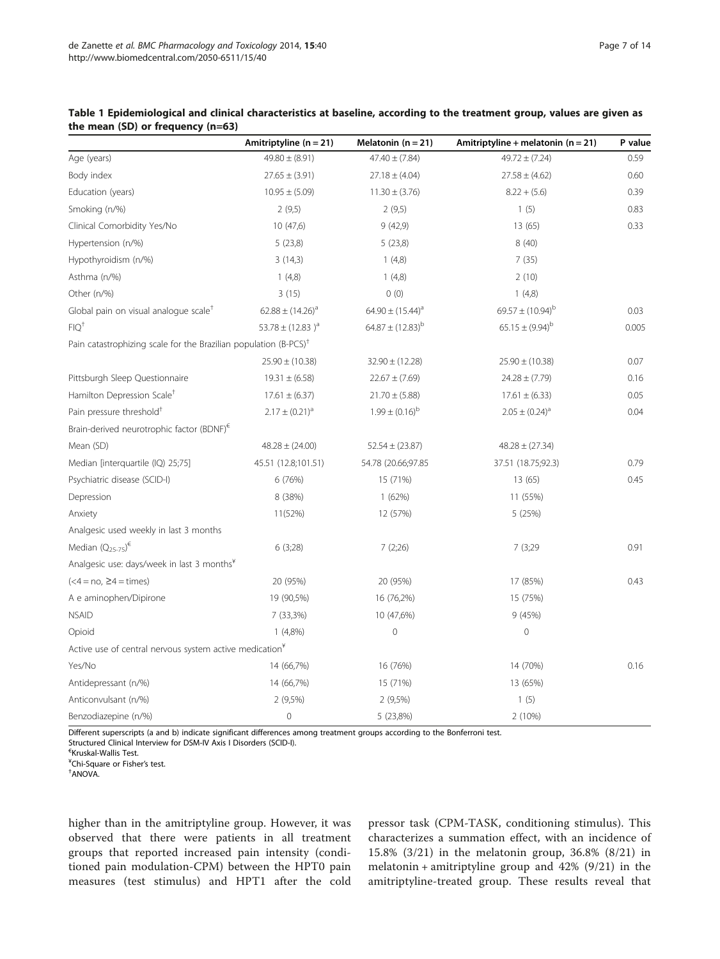|                                                                              | Amitriptyline ( $n = 21$ ) | Melatonin $(n = 21)$    | Amitriptyline + melatonin ( $n = 21$ ) | P value |
|------------------------------------------------------------------------------|----------------------------|-------------------------|----------------------------------------|---------|
| Age (years)                                                                  | $49.80 \pm (8.91)$         | $47.40 \pm (7.84)$      | $49.72 \pm (7.24)$                     | 0.59    |
| Body index                                                                   | $27.65 \pm (3.91)$         | $27.18 \pm (4.04)$      | $27.58 \pm (4.62)$                     | 0.60    |
| Education (years)                                                            | $10.95 \pm (5.09)$         | $11.30 \pm (3.76)$      | $8.22 + (5.6)$                         | 0.39    |
| Smoking (n/%)                                                                | 2(9,5)                     | 2(9,5)                  | 1(5)                                   | 0.83    |
| Clinical Comorbidity Yes/No                                                  | 10(47,6)                   | 9(42,9)                 | 13(65)                                 | 0.33    |
| Hypertension (n/%)                                                           | 5(23,8)                    | 5(23,8)                 | 8(40)                                  |         |
| Hypothyroidism (n/%)                                                         | 3(14,3)                    | 1(4,8)                  | 7(35)                                  |         |
| Asthma (n/%)                                                                 | 1(4,8)                     | 1(4,8)                  | 2(10)                                  |         |
| Other (n/%)                                                                  | 3(15)                      | 0(0)                    | 1(4,8)                                 |         |
| Global pain on visual analogue scale <sup>T</sup>                            | $62.88 \pm (14.26)^a$      | $64.90 \pm (15.44)^a$   | $69.57 \pm (10.94)^b$                  | 0.03    |
| $FIO+$                                                                       | 53.78 ± $(12.83)^a$        | $64.87 \pm (12.83)^{b}$ | $65.15 \pm (9.94)^{b}$                 | 0.005   |
| Pain catastrophizing scale for the Brazilian population (B-PCS) <sup>†</sup> |                            |                         |                                        |         |
|                                                                              | $25.90 \pm (10.38)$        | $32.90 \pm (12.28)$     | $25.90 \pm (10.38)$                    | 0.07    |
| Pittsburgh Sleep Questionnaire                                               | $19.31 \pm (6.58)$         | $22.67 \pm (7.69)$      | $24.28 \pm (7.79)$                     | 0.16    |
| Hamilton Depression Scale <sup>+</sup>                                       | $17.61 \pm (6.37)$         | $21.70 \pm (5.88)$      | $17.61 \pm (6.33)$                     | 0.05    |
| Pain pressure threshold <sup>+</sup>                                         | $2.17 \pm (0.21)^a$        | $1.99 \pm (0.16)^{b}$   | $2.05 \pm (0.24)^a$                    | 0.04    |
| Brain-derived neurotrophic factor (BDNF) <sup>€</sup>                        |                            |                         |                                        |         |
| Mean (SD)                                                                    | $48.28 \pm (24.00)$        | $52.54 \pm (23.87)$     | $48.28 \pm (27.34)$                    |         |
| Median [interquartile (IQ) 25;75]                                            | 45.51 (12.8;101.51)        | 54.78 (20.66;97.85      | 37.51 (18.75;92.3)                     | 0.79    |
| Psychiatric disease (SCID-I)                                                 | 6 (76%)                    | 15 (71%)                | 13 (65)                                | 0.45    |
| Depression                                                                   | 8 (38%)                    | 1(62%)                  | 11 (55%)                               |         |
| Anxiety                                                                      | 11(52%)                    | 12 (57%)                | 5 (25%)                                |         |
| Analgesic used weekly in last 3 months                                       |                            |                         |                                        |         |
| Median $(Q_{25-75})^{\epsilon}$                                              | 6 (3;28)                   | 7(2;26)                 | 7 (3;29                                | 0.91    |
| Analgesic use: days/week in last 3 months <sup>¥</sup>                       |                            |                         |                                        |         |
| $(<4 = no, \ge 4 = times)$                                                   | 20 (95%)                   | 20 (95%)                | 17 (85%)                               | 0.43    |
| A e aminophen/Dipirone                                                       | 19 (90,5%)                 | 16 (76,2%)              | 15 (75%)                               |         |
| <b>NSAID</b>                                                                 | 7 (33,3%)                  | 10 (47,6%)              | 9 (45%)                                |         |
| Opioid                                                                       | $1(4,8\%)$                 | $\mathbf{0}$            | $\mathbf 0$                            |         |
| Active use of central nervous system active medication <sup>¥</sup>          |                            |                         |                                        |         |
| Yes/No                                                                       | 14 (66,7%)                 | 16 (76%)                | 14 (70%)                               | 0.16    |
| Antidepressant (n/%)                                                         | 14 (66,7%)                 | 15 (71%)                | 13 (65%)                               |         |
| Anticonvulsant (n/%)                                                         | $2(9,5\%)$                 | $2(9,5\%)$              | 1(5)                                   |         |
| Benzodiazepine (n/%)                                                         | $\mathbf 0$                | 5 (23,8%)               | 2 (10%)                                |         |

<span id="page-6-0"></span>

| Table 1 Epidemiological and clinical characteristics at baseline, according to the treatment group, values are given as |  |  |
|-------------------------------------------------------------------------------------------------------------------------|--|--|
| the mean $(SD)$ or frequency $(n=63)$                                                                                   |  |  |

Different superscripts (a and b) indicate significant differences among treatment groups according to the Bonferroni test.

Structured Clinical Interview for DSM-IV Axis I Disorders (SCID-I).

€ Kruskal-Wallis Test.

<sup>¥</sup>Chi-Square or Fisher's test.<br>†^NOV^

ANOVA.

higher than in the amitriptyline group. However, it was observed that there were patients in all treatment groups that reported increased pain intensity (conditioned pain modulation-CPM) between the HPT0 pain measures (test stimulus) and HPT1 after the cold

pressor task (CPM-TASK, conditioning stimulus). This characterizes a summation effect, with an incidence of 15.8% (3/21) in the melatonin group, 36.8% (8/21) in melatonin + amitriptyline group and  $42\%$  (9/21) in the amitriptyline-treated group. These results reveal that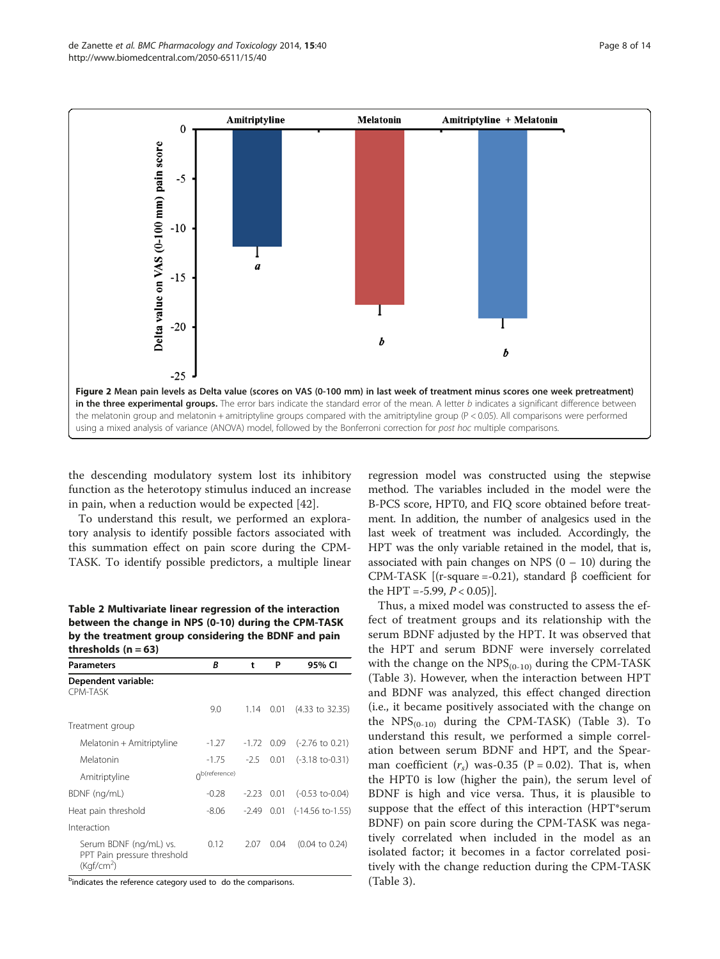<span id="page-7-0"></span>

the descending modulatory system lost its inhibitory function as the heterotopy stimulus induced an increase in pain, when a reduction would be expected [\[42](#page-13-0)].

To understand this result, we performed an exploratory analysis to identify possible factors associated with this summation effect on pain score during the CPM-TASK. To identify possible predictors, a multiple linear

Table 2 Multivariate linear regression of the interaction between the change in NPS (0-10) during the CPM-TASK by the treatment group considering the BDNF and pain thresholds  $(n = 63)$ 

| <b>Parameters</b>                                                               | R                      | t            | P          | 95% CI                             |
|---------------------------------------------------------------------------------|------------------------|--------------|------------|------------------------------------|
| Dependent variable:<br><b>CPM-TASK</b>                                          |                        |              |            |                                    |
|                                                                                 | 9.0                    | 1.14         | 0.01       | $(4.33 \text{ to } 32.35)$         |
| Treatment group                                                                 |                        |              |            |                                    |
| Melatonin + Amitriptyline                                                       | $-1.27$                |              | -1.72 0.09 | $(-2.76 \text{ to } 0.21)$         |
| Melatonin                                                                       | $-1.75$                | $-2.5$       | 0.01       | $(-3.18 \text{ to } -0.31)$        |
| Amitriptyline                                                                   | $\bigcap$ b(reference) |              |            |                                    |
| BDNF (ng/mL)                                                                    | $-0.28$                | $-2.23$ 0.01 |            | $(-0.53$ to-0.04)                  |
| Heat pain threshold                                                             | $-8.06$                | $-2.49$      |            | $0.01$ $(-14.56 \text{ to} -1.55)$ |
| Interaction                                                                     |                        |              |            |                                    |
| Serum BDNF (ng/mL) vs.<br>PPT Pain pressure threshold<br>(Kqf/cm <sup>2</sup> ) | 0.12                   | 2.07         | 0.04       | $(0.04 \text{ to } 0.24)$          |

<sup>b</sup>indicates the reference category used to do the comparisons.

regression model was constructed using the stepwise method. The variables included in the model were the B-PCS score, HPT0, and FIQ score obtained before treatment. In addition, the number of analgesics used in the last week of treatment was included. Accordingly, the HPT was the only variable retained in the model, that is, associated with pain changes on NPS  $(0 - 10)$  during the CPM-TASK [(r-square =-0.21), standard β coefficient for the HPT = -5.99,  $P < 0.05$ ].

Thus, a mixed model was constructed to assess the effect of treatment groups and its relationship with the serum BDNF adjusted by the HPT. It was observed that the HPT and serum BDNF were inversely correlated with the change on the  $NPS_{(0-10)}$  during the CPM-TASK (Table [3\)](#page-9-0). However, when the interaction between HPT and BDNF was analyzed, this effect changed direction (i.e., it became positively associated with the change on the  $NPS_{(0-10)}$  during the CPM-TASK) (Table [3](#page-9-0)). To understand this result, we performed a simple correlation between serum BDNF and HPT, and the Spearman coefficient  $(r<sub>s</sub>)$  was-0.35 (P = 0.02). That is, when the HPT0 is low (higher the pain), the serum level of BDNF is high and vice versa. Thus, it is plausible to suppose that the effect of this interaction (HPT\*serum BDNF) on pain score during the CPM-TASK was negatively correlated when included in the model as an isolated factor; it becomes in a factor correlated positively with the change reduction during the CPM-TASK (Table [3](#page-9-0)).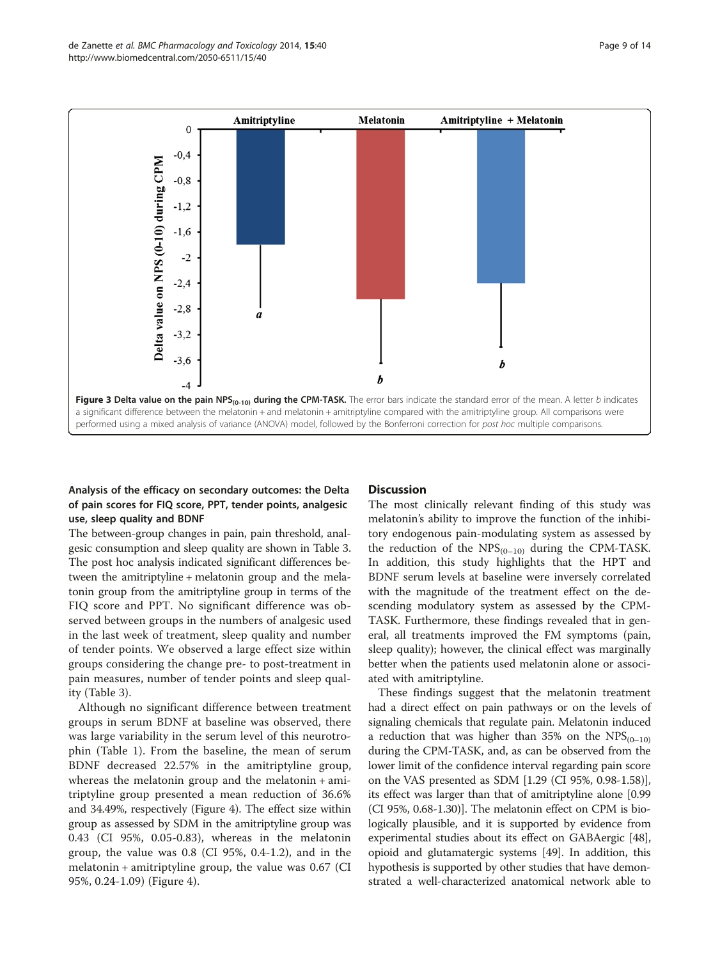<span id="page-8-0"></span>

# Analysis of the efficacy on secondary outcomes: the Delta of pain scores for FIQ score, PPT, tender points, analgesic use, sleep quality and BDNF

The between-group changes in pain, pain threshold, analgesic consumption and sleep quality are shown in Table [3](#page-9-0). The post hoc analysis indicated significant differences between the amitriptyline + melatonin group and the melatonin group from the amitriptyline group in terms of the FIQ score and PPT. No significant difference was observed between groups in the numbers of analgesic used in the last week of treatment, sleep quality and number of tender points. We observed a large effect size within groups considering the change pre- to post-treatment in pain measures, number of tender points and sleep quality (Table [3](#page-9-0)).

Although no significant difference between treatment groups in serum BDNF at baseline was observed, there was large variability in the serum level of this neurotrophin (Table [1\)](#page-6-0). From the baseline, the mean of serum BDNF decreased 22.57% in the amitriptyline group, whereas the melatonin group and the melatonin + amitriptyline group presented a mean reduction of 36.6% and 34.49%, respectively (Figure [4](#page-10-0)). The effect size within group as assessed by SDM in the amitriptyline group was 0.43 (CI 95%, 0.05-0.83), whereas in the melatonin group, the value was 0.8 (CI 95%, 0.4-1.2), and in the melatonin + amitriptyline group, the value was 0.67 (CI 95%, 0.24-1.09) (Figure [4\)](#page-10-0).

#### **Discussion**

The most clinically relevant finding of this study was melatonin's ability to improve the function of the inhibitory endogenous pain-modulating system as assessed by the reduction of the  $NPS_{(0-10)}$  during the CPM-TASK. In addition, this study highlights that the HPT and BDNF serum levels at baseline were inversely correlated with the magnitude of the treatment effect on the descending modulatory system as assessed by the CPM-TASK. Furthermore, these findings revealed that in general, all treatments improved the FM symptoms (pain, sleep quality); however, the clinical effect was marginally better when the patients used melatonin alone or associated with amitriptyline.

These findings suggest that the melatonin treatment had a direct effect on pain pathways or on the levels of signaling chemicals that regulate pain. Melatonin induced a reduction that was higher than 35% on the  $NPS_{(0-10)}$ during the CPM-TASK, and, as can be observed from the lower limit of the confidence interval regarding pain score on the VAS presented as SDM [1.29 (CI 95%, 0.98-1.58)], its effect was larger than that of amitriptyline alone [0.99 (CI 95%, 0.68-1.30)]. The melatonin effect on CPM is biologically plausible, and it is supported by evidence from experimental studies about its effect on GABAergic [[48](#page-13-0)], opioid and glutamatergic systems [[49](#page-13-0)]. In addition, this hypothesis is supported by other studies that have demonstrated a well-characterized anatomical network able to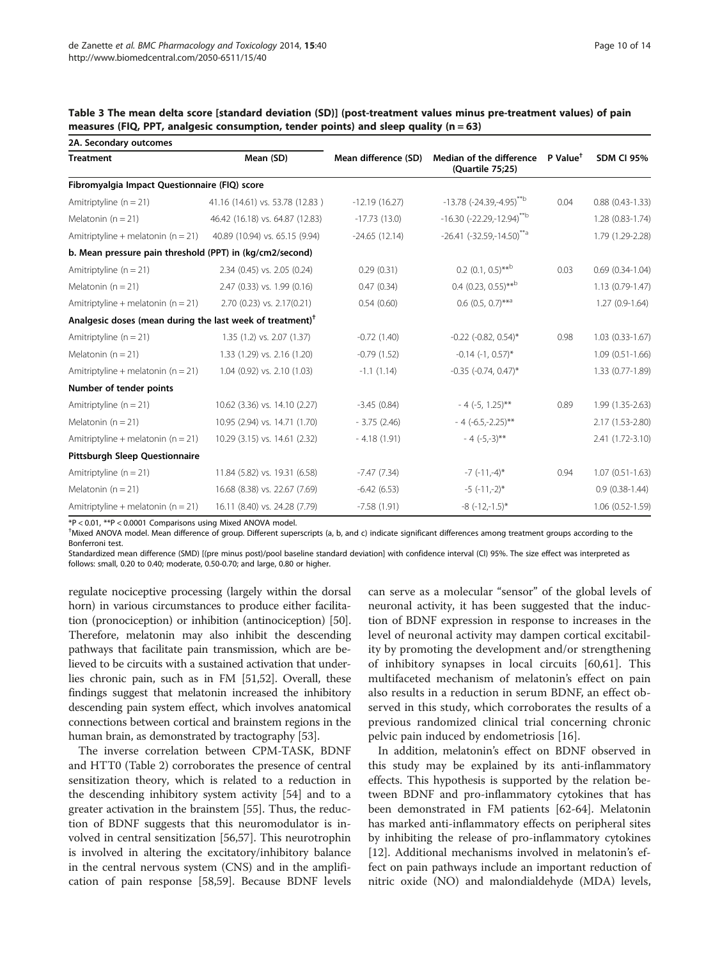| 2A. Secondary outcomes                                                |                                 |                      |                                                 |                        |                        |
|-----------------------------------------------------------------------|---------------------------------|----------------------|-------------------------------------------------|------------------------|------------------------|
| <b>Treatment</b>                                                      | Mean (SD)                       | Mean difference (SD) | Median of the difference<br>(Quartile 75;25)    | $P$ Value <sup>†</sup> | <b>SDM CI 95%</b>      |
| Fibromyalgia Impact Questionnaire (FIQ) score                         |                                 |                      |                                                 |                        |                        |
| Amitriptyline $(n = 21)$                                              | 41.16 (14.61) vs. 53.78 (12.83) | $-12.19(16.27)$      | $-13.78$ (-24.39, -4.95) <sup>**b</sup>         | 0.04                   | $0.88$ $(0.43 - 1.33)$ |
| Melatonin ( $n = 21$ )                                                | 46.42 (16.18) vs. 64.87 (12.83) | $-17.73(13.0)$       | $-16.30$ (-22.29, -12.94) <sup>**b</sup>        |                        | 1.28 (0.83-1.74)       |
| Amitriptyline + melatonin ( $n = 21$ )                                | 40.89 (10.94) vs. 65.15 (9.94)  | $-24.65(12.14)$      | $-26.41$ ( $-32.59$ , $-14.50$ ) <sup>**a</sup> |                        | 1.79 (1.29-2.28)       |
| b. Mean pressure pain threshold (PPT) in (kg/cm2/second)              |                                 |                      |                                                 |                        |                        |
| Amitriptyline $(n = 21)$                                              | 2.34 (0.45) vs. 2.05 (0.24)     | 0.29(0.31)           | $0.2$ (0.1, 0.5)** <sup>b</sup>                 | 0.03                   | $0.69(0.34-1.04)$      |
| Melatonin ( $n = 21$ )                                                | 2.47 (0.33) vs. 1.99 (0.16)     | 0.47(0.34)           | $0.4$ (0.23, 0.55)** <sup>b</sup>               |                        | $1.13(0.79-1.47)$      |
| Amitriptyline + melatonin ( $n = 21$ )                                | 2.70 (0.23) vs. 2.17(0.21)      | 0.54(0.60)           | $0.6$ (0.5, 0.7)** <sup>a</sup>                 |                        | $1.27(0.9-1.64)$       |
| Analgesic doses (mean during the last week of treatment) <sup>†</sup> |                                 |                      |                                                 |                        |                        |
| Amitriptyline $(n = 21)$                                              | 1.35 (1.2) vs. 2.07 (1.37)      | $-0.72(1.40)$        | $-0.22$ $(-0.82, 0.54)$ *                       | 0.98                   | $1.03(0.33-1.67)$      |
| Melatonin ( $n = 21$ )                                                | 1.33 (1.29) vs. 2.16 (1.20)     | $-0.79(1.52)$        | $-0.14$ $(-1, 0.57)$ *                          |                        | $1.09(0.51-1.66)$      |
| Amitriptyline + melatonin ( $n = 21$ )                                | 1.04 (0.92) vs. 2.10 (1.03)     | $-1.1(1.14)$         | $-0.35$ $(-0.74, 0.47)^*$                       |                        | 1.33 (0.77-1.89)       |
| Number of tender points                                               |                                 |                      |                                                 |                        |                        |
| Amitriptyline $(n = 21)$                                              | 10.62 (3.36) vs. 14.10 (2.27)   | $-3.45(0.84)$        | $-4$ (-5, 1.25)**                               | 0.89                   | 1.99 (1.35-2.63)       |
| Melatonin ( $n = 21$ )                                                | 10.95 (2.94) vs. 14.71 (1.70)   | $-3.75(2.46)$        | $-4$ (-6.5, -2.25)**                            |                        | 2.17 (1.53-2.80)       |
| Amitriptyline + melatonin ( $n = 21$ )                                | 10.29 (3.15) vs. 14.61 (2.32)   | $-4.18(1.91)$        | $-4$ $(-5,-3)$ **                               |                        | 2.41 (1.72-3.10)       |
| <b>Pittsburgh Sleep Questionnaire</b>                                 |                                 |                      |                                                 |                        |                        |
| Amitriptyline $(n = 21)$                                              | 11.84 (5.82) vs. 19.31 (6.58)   | $-7.47(7.34)$        | $-7$ ( $-11,-4$ )*                              | 0.94                   | $1.07(0.51 - 1.63)$    |
| Melatonin ( $n = 21$ )                                                | 16.68 (8.38) vs. 22.67 (7.69)   | $-6.42(6.53)$        | $-5$ $(-11,-2)$ *                               |                        | $0.9(0.38-1.44)$       |
| Amitriptyline + melatonin ( $n = 21$ )                                | 16.11 (8.40) vs. 24.28 (7.79)   | $-7.58(1.91)$        | $-8$ $(-12,-1.5)$ *                             |                        | $1.06(0.52 - 1.59)$    |

<span id="page-9-0"></span>Table 3 The mean delta score [standard deviation (SD)] (post-treatment values minus pre-treatment values) of pain measures (FIQ, PPT, analgesic consumption, tender points) and sleep quality ( $n = 63$ )

\*P < 0.01, \*\*P < 0.0001 Comparisons using Mixed ANOVA model.

† Mixed ANOVA model. Mean difference of group. Different superscripts (a, b, and c) indicate significant differences among treatment groups according to the Bonferroni test.

Standardized mean difference (SMD) [(pre minus post)/pool baseline standard deviation] with confidence interval (CI) 95%. The size effect was interpreted as follows: small, 0.20 to 0.40; moderate, 0.50-0.70; and large, 0.80 or higher.

regulate nociceptive processing (largely within the dorsal horn) in various circumstances to produce either facilitation (pronociception) or inhibition (antinociception) [[50](#page-13-0)]. Therefore, melatonin may also inhibit the descending pathways that facilitate pain transmission, which are believed to be circuits with a sustained activation that underlies chronic pain, such as in FM [\[51,52](#page-13-0)]. Overall, these findings suggest that melatonin increased the inhibitory descending pain system effect, which involves anatomical connections between cortical and brainstem regions in the human brain, as demonstrated by tractography [[53](#page-13-0)].

The inverse correlation between CPM-TASK, BDNF and HTT0 (Table [2](#page-7-0)) corroborates the presence of central sensitization theory, which is related to a reduction in the descending inhibitory system activity [[54\]](#page-13-0) and to a greater activation in the brainstem [\[55\]](#page-13-0). Thus, the reduction of BDNF suggests that this neuromodulator is involved in central sensitization [[56,57\]](#page-13-0). This neurotrophin is involved in altering the excitatory/inhibitory balance in the central nervous system (CNS) and in the amplification of pain response [\[58,59\]](#page-13-0). Because BDNF levels

can serve as a molecular "sensor" of the global levels of neuronal activity, it has been suggested that the induction of BDNF expression in response to increases in the level of neuronal activity may dampen cortical excitability by promoting the development and/or strengthening of inhibitory synapses in local circuits [[60,61\]](#page-13-0). This multifaceted mechanism of melatonin's effect on pain also results in a reduction in serum BDNF, an effect observed in this study, which corroborates the results of a previous randomized clinical trial concerning chronic pelvic pain induced by endometriosis [[16\]](#page-12-0).

In addition, melatonin's effect on BDNF observed in this study may be explained by its anti-inflammatory effects. This hypothesis is supported by the relation between BDNF and pro-inflammatory cytokines that has been demonstrated in FM patients [[62-64](#page-13-0)]. Melatonin has marked anti-inflammatory effects on peripheral sites by inhibiting the release of pro-inflammatory cytokines [[12\]](#page-12-0). Additional mechanisms involved in melatonin's effect on pain pathways include an important reduction of nitric oxide (NO) and malondialdehyde (MDA) levels,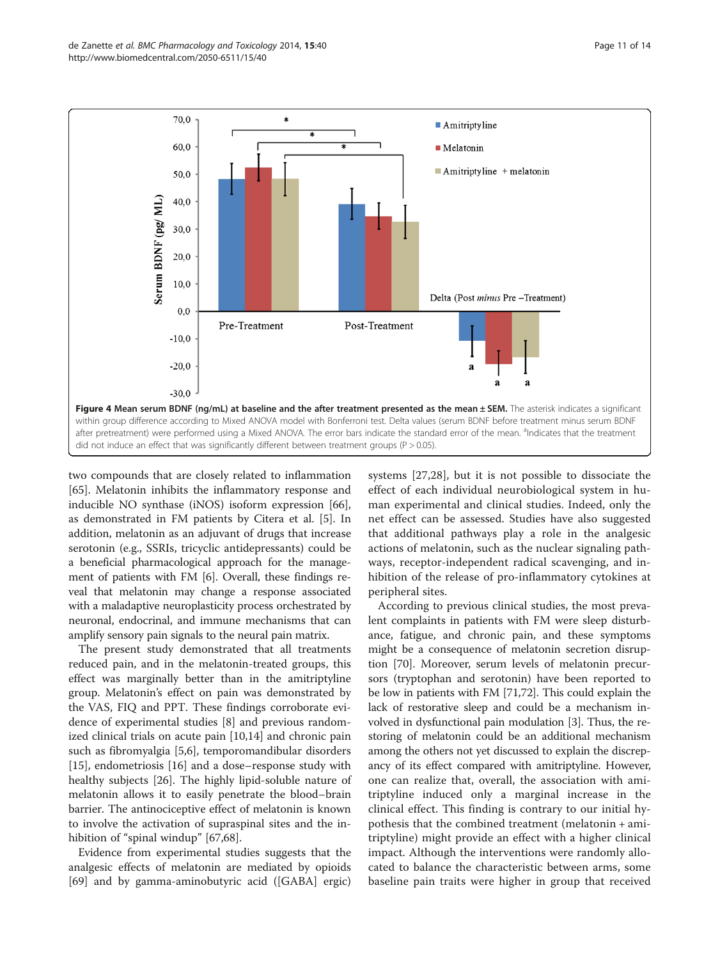<span id="page-10-0"></span>

two compounds that are closely related to inflammation [[65\]](#page-13-0). Melatonin inhibits the inflammatory response and inducible NO synthase (iNOS) isoform expression [\[66](#page-13-0)], as demonstrated in FM patients by Citera et al. [\[5](#page-12-0)]. In addition, melatonin as an adjuvant of drugs that increase serotonin (e.g., SSRIs, tricyclic antidepressants) could be a beneficial pharmacological approach for the management of patients with FM [\[6](#page-12-0)]. Overall, these findings reveal that melatonin may change a response associated with a maladaptive neuroplasticity process orchestrated by neuronal, endocrinal, and immune mechanisms that can amplify sensory pain signals to the neural pain matrix.

The present study demonstrated that all treatments reduced pain, and in the melatonin-treated groups, this effect was marginally better than in the amitriptyline group. Melatonin's effect on pain was demonstrated by the VAS, FIQ and PPT. These findings corroborate evidence of experimental studies [[8\]](#page-12-0) and previous randomized clinical trials on acute pain [\[10,14\]](#page-12-0) and chronic pain such as fibromyalgia [\[5](#page-12-0),[6](#page-12-0)], temporomandibular disorders [[15\]](#page-12-0), endometriosis [[16\]](#page-12-0) and a dose–response study with healthy subjects [[26\]](#page-12-0). The highly lipid-soluble nature of melatonin allows it to easily penetrate the blood–brain barrier. The antinociceptive effect of melatonin is known to involve the activation of supraspinal sites and the in-hibition of "spinal windup" [\[67,68\]](#page-13-0).

Evidence from experimental studies suggests that the analgesic effects of melatonin are mediated by opioids [[69\]](#page-13-0) and by gamma-aminobutyric acid ([GABA] ergic)

systems [[27,28](#page-12-0)], but it is not possible to dissociate the effect of each individual neurobiological system in human experimental and clinical studies. Indeed, only the net effect can be assessed. Studies have also suggested that additional pathways play a role in the analgesic actions of melatonin, such as the nuclear signaling pathways, receptor-independent radical scavenging, and inhibition of the release of pro-inflammatory cytokines at peripheral sites.

According to previous clinical studies, the most prevalent complaints in patients with FM were sleep disturbance, fatigue, and chronic pain, and these symptoms might be a consequence of melatonin secretion disruption [[70](#page-13-0)]. Moreover, serum levels of melatonin precursors (tryptophan and serotonin) have been reported to be low in patients with FM [\[71,72\]](#page-13-0). This could explain the lack of restorative sleep and could be a mechanism involved in dysfunctional pain modulation [[3\]](#page-12-0). Thus, the restoring of melatonin could be an additional mechanism among the others not yet discussed to explain the discrepancy of its effect compared with amitriptyline. However, one can realize that, overall, the association with amitriptyline induced only a marginal increase in the clinical effect. This finding is contrary to our initial hypothesis that the combined treatment (melatonin + amitriptyline) might provide an effect with a higher clinical impact. Although the interventions were randomly allocated to balance the characteristic between arms, some baseline pain traits were higher in group that received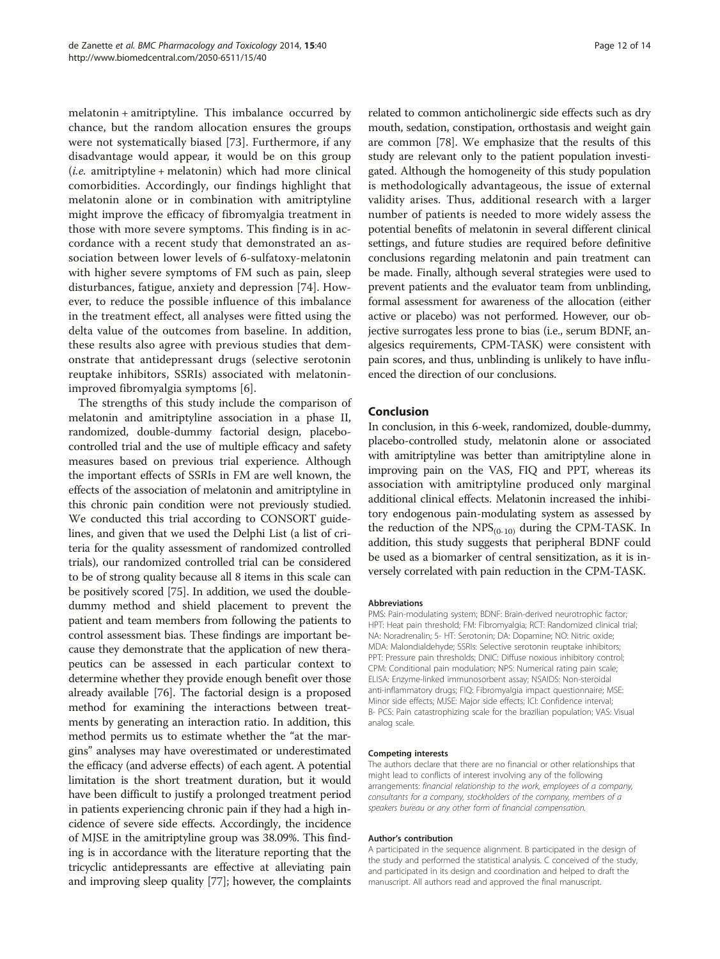melatonin + amitriptyline. This imbalance occurred by chance, but the random allocation ensures the groups were not systematically biased [[73](#page-13-0)]. Furthermore, if any disadvantage would appear, it would be on this group  $(i.e.$  amitriptyline + melatonin) which had more clinical comorbidities. Accordingly, our findings highlight that melatonin alone or in combination with amitriptyline might improve the efficacy of fibromyalgia treatment in those with more severe symptoms. This finding is in accordance with a recent study that demonstrated an association between lower levels of 6-sulfatoxy-melatonin with higher severe symptoms of FM such as pain, sleep disturbances, fatigue, anxiety and depression [[74\]](#page-13-0). However, to reduce the possible influence of this imbalance in the treatment effect, all analyses were fitted using the delta value of the outcomes from baseline. In addition, these results also agree with previous studies that demonstrate that antidepressant drugs (selective serotonin reuptake inhibitors, SSRIs) associated with melatoninimproved fibromyalgia symptoms [[6\]](#page-12-0).

The strengths of this study include the comparison of melatonin and amitriptyline association in a phase II, randomized, double-dummy factorial design, placebocontrolled trial and the use of multiple efficacy and safety measures based on previous trial experience. Although the important effects of SSRIs in FM are well known, the effects of the association of melatonin and amitriptyline in this chronic pain condition were not previously studied. We conducted this trial according to CONSORT guidelines, and given that we used the Delphi List (a list of criteria for the quality assessment of randomized controlled trials), our randomized controlled trial can be considered to be of strong quality because all 8 items in this scale can be positively scored [[75](#page-13-0)]. In addition, we used the doubledummy method and shield placement to prevent the patient and team members from following the patients to control assessment bias. These findings are important because they demonstrate that the application of new therapeutics can be assessed in each particular context to determine whether they provide enough benefit over those already available [\[76\]](#page-13-0). The factorial design is a proposed method for examining the interactions between treatments by generating an interaction ratio. In addition, this method permits us to estimate whether the "at the margins" analyses may have overestimated or underestimated the efficacy (and adverse effects) of each agent. A potential limitation is the short treatment duration, but it would have been difficult to justify a prolonged treatment period in patients experiencing chronic pain if they had a high incidence of severe side effects. Accordingly, the incidence of MJSE in the amitriptyline group was 38.09%. This finding is in accordance with the literature reporting that the tricyclic antidepressants are effective at alleviating pain and improving sleep quality [[77](#page-13-0)]; however, the complaints

related to common anticholinergic side effects such as dry mouth, sedation, constipation, orthostasis and weight gain are common [[78](#page-13-0)]. We emphasize that the results of this study are relevant only to the patient population investigated. Although the homogeneity of this study population is methodologically advantageous, the issue of external validity arises. Thus, additional research with a larger number of patients is needed to more widely assess the potential benefits of melatonin in several different clinical settings, and future studies are required before definitive conclusions regarding melatonin and pain treatment can be made. Finally, although several strategies were used to prevent patients and the evaluator team from unblinding, formal assessment for awareness of the allocation (either active or placebo) was not performed. However, our objective surrogates less prone to bias (i.e., serum BDNF, analgesics requirements, CPM-TASK) were consistent with pain scores, and thus, unblinding is unlikely to have influenced the direction of our conclusions.

## Conclusion

In conclusion, in this 6-week, randomized, double-dummy, placebo-controlled study, melatonin alone or associated with amitriptyline was better than amitriptyline alone in improving pain on the VAS, FIQ and PPT, whereas its association with amitriptyline produced only marginal additional clinical effects. Melatonin increased the inhibitory endogenous pain-modulating system as assessed by the reduction of the  $NPS_{(0-10)}$  during the CPM-TASK. In addition, this study suggests that peripheral BDNF could be used as a biomarker of central sensitization, as it is inversely correlated with pain reduction in the CPM-TASK.

#### **Abbreviations**

PMS: Pain-modulating system; BDNF: Brain-derived neurotrophic factor; HPT: Heat pain threshold; FM: Fibromyalgia; RCT: Randomized clinical trial; NA: Noradrenalin; 5- HT: Serotonin; DA: Dopamine; NO: Nitric oxide; MDA: Malondialdehyde; SSRIs: Selective serotonin reuptake inhibitors; PPT: Pressure pain thresholds; DNIC: Diffuse noxious inhibitory control; CPM: Conditional pain modulation; NPS: Numerical rating pain scale; ELISA: Enzyme-linked immunosorbent assay; NSAIDS: Non-steroidal anti-inflammatory drugs; FIQ: Fibromyalgia impact questionnaire; MSE: Minor side effects; MJSE: Major side effects; lCI: Confidence interval; B- PCS: Pain catastrophizing scale for the brazilian population; VAS: Visual analog scale.

#### Competing interests

The authors declare that there are no financial or other relationships that might lead to conflicts of interest involving any of the following arrangements: financial relationship to the work, employees of a company, consultants for a company, stockholders of the company, members of a speakers bureau or any other form of financial compensation.

#### Author's contribution

A participated in the sequence alignment. B participated in the design of the study and performed the statistical analysis. C conceived of the study, and participated in its design and coordination and helped to draft the manuscript. All authors read and approved the final manuscript.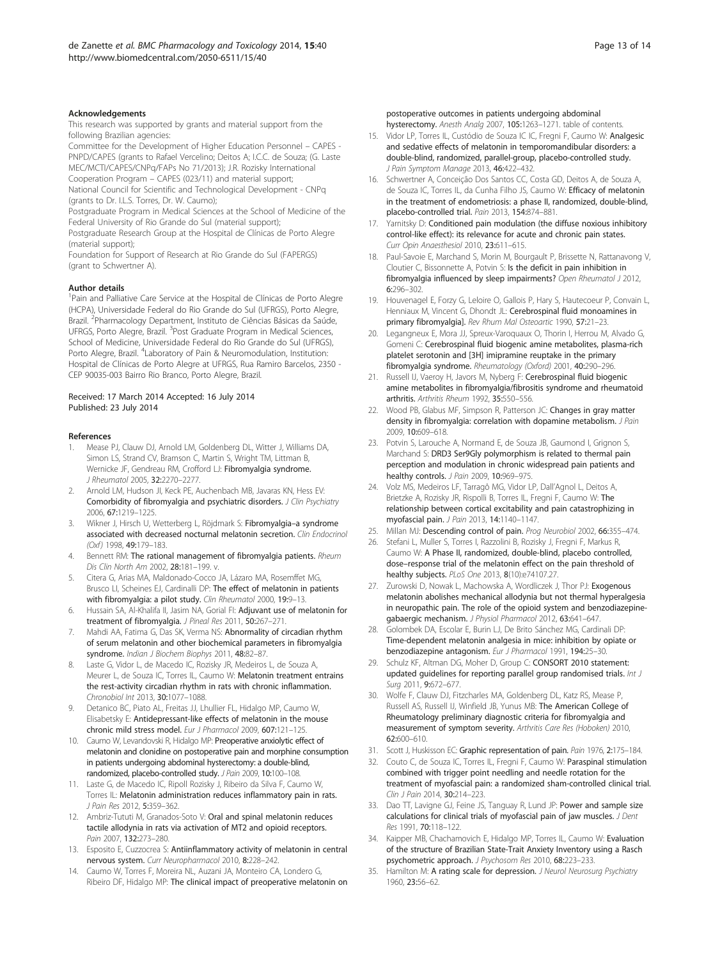#### <span id="page-12-0"></span>Acknowledgements

This research was supported by grants and material support from the following Brazilian agencies:

Committee for the Development of Higher Education Personnel – CAPES - PNPD/CAPES (grants to Rafael Vercelino; Deitos A; I.C.C. de Souza; (G. Laste MEC/MCTI/CAPES/CNPq/FAPs No 71/2013); J.R. Rozisky International Cooperation Program – CAPES (023/11) and material support;

National Council for Scientific and Technological Development - CNPq (grants to Dr. I.L.S. Torres, Dr. W. Caumo);

Postgraduate Program in Medical Sciences at the School of Medicine of the Federal University of Rio Grande do Sul (material support);

Postgraduate Research Group at the Hospital de Clínicas de Porto Alegre (material support);

Foundation for Support of Research at Rio Grande do Sul (FAPERGS) (grant to Schwertner A).

#### Author details

<sup>1</sup>Pain and Palliative Care Service at the Hospital de Clínicas de Porto Alegre (HCPA), Universidade Federal do Rio Grande do Sul (UFRGS), Porto Alegre, Brazil. <sup>2</sup>Pharmacology Department, Instituto de Ciências Básicas da Saúde, UFRGS, Porto Alegre, Brazil. <sup>3</sup>Post Graduate Program in Medical Sciences, School of Medicine, Universidade Federal do Rio Grande do Sul (UFRGS), Porto Alegre, Brazil. <sup>4</sup>Laboratory of Pain & Neuromodulation, Institution: Hospital de Clínicas de Porto Alegre at UFRGS, Rua Ramiro Barcelos, 2350 - CEP 90035-003 Bairro Rio Branco, Porto Alegre, Brazil.

#### Received: 17 March 2014 Accepted: 16 July 2014 Published: 23 July 2014

#### References

- 1. Mease PJ, Clauw DJ, Arnold LM, Goldenberg DL, Witter J, Williams DA, Simon LS, Strand CV, Bramson C, Martin S, Wright TM, Littman B, Wernicke JF, Gendreau RM, Crofford LJ: Fibromyalgia syndrome. J Rheumatol 2005, 32:2270–2277.
- 2. Arnold LM, Hudson JI, Keck PE, Auchenbach MB, Javaras KN, Hess EV: Comorbidity of fibromyalgia and psychiatric disorders. J Clin Psychiatry 2006, 67:1219–1225.
- 3. Wikner J, Hirsch U, Wetterberg L, Röjdmark S: Fibromyalgia–a syndrome associated with decreased nocturnal melatonin secretion. Clin Endocrinol (Oxf) 1998, 49:179–183.
- Bennett RM: The rational management of fibromyalgia patients. Rheum Dis Clin North Am 2002, 28:181–199. v.
- 5. Citera G, Arias MA, Maldonado-Cocco JA, Lázaro MA, Rosemffet MG, Brusco LI, Scheines EJ, Cardinalli DP: The effect of melatonin in patients with fibromyalgia: a pilot study. Clin Rheumatol 2000, 19:9-13.
- 6. Hussain SA, Al-Khalifa II, Jasim NA, Gorial FI: Adjuvant use of melatonin for treatment of fibromyalgia. J Pineal Res 2011, 50:267–271.
- 7. Mahdi AA, Fatima G, Das SK, Verma NS: Abnormality of circadian rhythm of serum melatonin and other biochemical parameters in fibromyalgia syndrome. Indian J Biochem Biophys 2011, 48:82–87.
- 8. Laste G, Vidor L, de Macedo IC, Rozisky JR, Medeiros L, de Souza A, Meurer L, de Souza IC, Torres IL, Caumo W: Melatonin treatment entrains the rest-activity circadian rhythm in rats with chronic inflammation. Chronobiol Int 2013, 30:1077–1088.
- 9. Detanico BC, Piato AL, Freitas JJ, Lhullier FL, Hidalgo MP, Caumo W, Elisabetsky E: Antidepressant-like effects of melatonin in the mouse chronic mild stress model. Eur J Pharmacol 2009, 607:121–125.
- 10. Caumo W, Levandovski R, Hidalgo MP: Preoperative anxiolytic effect of melatonin and clonidine on postoperative pain and morphine consumption in patients undergoing abdominal hysterectomy: a double-blind, randomized, placebo-controlled study. J Pain 2009, 10:100–108.
- 11. Laste G, de Macedo IC, Ripoll Rozisky J, Ribeiro da Silva F, Caumo W, Torres IL: Melatonin administration reduces inflammatory pain in rats. J Pain Res 2012, 5:359–362.
- 12. Ambriz-Tututi M, Granados-Soto V: Oral and spinal melatonin reduces tactile allodynia in rats via activation of MT2 and opioid receptors. Pain 2007, 132:273–280.
- 13. Esposito E, Cuzzocrea S: Antiinflammatory activity of melatonin in central nervous system. Curr Neuropharmacol 2010, 8:228–242.
- 14. Caumo W, Torres F, Moreira NL, Auzani JA, Monteiro CA, Londero G, Ribeiro DF, Hidalgo MP: The clinical impact of preoperative melatonin on

postoperative outcomes in patients undergoing abdominal hysterectomy. Anesth Analg 2007, 105:1263–1271. table of contents.

- 15. Vidor LP, Torres IL, Custódio de Souza IC IC, Fregni F, Caumo W: Analgesic and sedative effects of melatonin in temporomandibular disorders: a double-blind, randomized, parallel-group, placebo-controlled study. J Pain Symptom Manage 2013, 46:422–432.
- 16. Schwertner A, Conceição Dos Santos CC, Costa GD, Deitos A, de Souza A, de Souza IC, Torres IL, da Cunha Filho JS, Caumo W: Efficacy of melatonin in the treatment of endometriosis: a phase II, randomized, double-blind, placebo-controlled trial. Pain 2013, 154:874–881.
- 17. Yarnitsky D: Conditioned pain modulation (the diffuse noxious inhibitory control-like effect): its relevance for acute and chronic pain states. Curr Opin Anaesthesiol 2010, 23:611–615.
- 18. Paul-Savoie E, Marchand S, Morin M, Bourgault P, Brissette N, Rattanavong V, Cloutier C, Bissonnette A, Potvin S: Is the deficit in pain inhibition in fibromyalgia influenced by sleep impairments? Open Rheumatol J 2012, 6:296–302.
- 19. Houvenagel E, Forzy G, Leloire O, Gallois P, Hary S, Hautecoeur P, Convain L, Henniaux M, Vincent G, Dhondt JL: Cerebrospinal fluid monoamines in primary fibromyalgia]. Rev Rhum Mal Osteoartic 1990, 57:21-23.
- 20. Legangneux E, Mora JJ, Spreux-Varoquaux O, Thorin I, Herrou M, Alvado G, Gomeni C: Cerebrospinal fluid biogenic amine metabolites, plasma-rich platelet serotonin and [3H] imipramine reuptake in the primary fibromyalgia syndrome. Rheumatology (Oxford) 2001, 40:290–296.
- 21. Russell IJ, Vaeroy H, Javors M, Nyberg F: Cerebrospinal fluid biogenic amine metabolites in fibromyalgia/fibrositis syndrome and rheumatoid arthritis. Arthritis Rheum 1992, 35:550–556.
- 22. Wood PB, Glabus MF, Simpson R, Patterson JC: Changes in gray matter density in fibromyalgia: correlation with dopamine metabolism. J Pain 2009, 10:609–618.
- 23. Potvin S, Larouche A, Normand E, de Souza JB, Gaumond I, Grignon S, Marchand S: DRD3 Ser9Gly polymorphism is related to thermal pain perception and modulation in chronic widespread pain patients and healthy controls. *J Pain 2009*, 10:969-975.
- 24. Volz MS, Medeiros LF, Tarragô MG, Vidor LP, Dall'Agnol L, Deitos A, Brietzke A, Rozisky JR, Rispolli B, Torres IL, Fregni F, Caumo W: The relationship between cortical excitability and pain catastrophizing in myofascial pain. J Pain 2013, 14:1140–1147.
- 25. Millan MJ: Descending control of pain. Prog Neurobiol 2002, 66:355-474.
- 26. Stefani L, Muller S, Torres I, Razzolini B, Rozisky J, Fregni F, Markus R, Caumo W: A Phase II, randomized, double-blind, placebo controlled, dose–response trial of the melatonin effect on the pain threshold of healthy subjects. PLoS One 2013, 8(10):e74107.27.
- 27. Zurowski D, Nowak L, Machowska A, Wordliczek J, Thor PJ: Exogenous melatonin abolishes mechanical allodynia but not thermal hyperalgesia in neuropathic pain. The role of the opioid system and benzodiazepinegabaergic mechanism. J Physiol Pharmacol 2012, 63:641–647.
- 28. Golombek DA, Escolar E, Burin LJ, De Brito Sánchez MG, Cardinali DP: Time-dependent melatonin analgesia in mice: inhibition by opiate or benzodiazepine antagonism. Eur J Pharmacol 1991, 194:25–30.
- 29. Schulz KF, Altman DG, Moher D, Group C: CONSORT 2010 statement: updated guidelines for reporting parallel group randomised trials. Int J Surg 2011, 9:672–677.
- 30. Wolfe F, Clauw DJ, Fitzcharles MA, Goldenberg DL, Katz RS, Mease P, Russell AS, Russell IJ, Winfield JB, Yunus MB: The American College of Rheumatology preliminary diagnostic criteria for fibromyalgia and measurement of symptom severity. Arthritis Care Res (Hoboken) 2010, 62:600–610.
- 31. Scott J, Huskisson EC: Graphic representation of pain. Pain 1976, 2:175-184.
- 32. Couto C, de Souza IC, Torres IL, Fregni F, Caumo W: Paraspinal stimulation combined with trigger point needling and needle rotation for the treatment of myofascial pain: a randomized sham-controlled clinical trial. Clin J Pain 2014, 30:214–223.
- 33. Dao TT, Lavigne GJ, Feine JS, Tanguay R, Lund JP: Power and sample size calculations for clinical trials of myofascial pain of jaw muscles. J Dent Res 1991, 70:118–122.
- 34. Kaipper MB, Chachamovich E, Hidalgo MP, Torres IL, Caumo W: Evaluation of the structure of Brazilian State-Trait Anxiety Inventory using a Rasch psychometric approach. J Psychosom Res 2010, 68:223–233.
- 35. Hamilton M: A rating scale for depression. J Neurol Neurosurg Psychiatry 1960, 23:56–62.